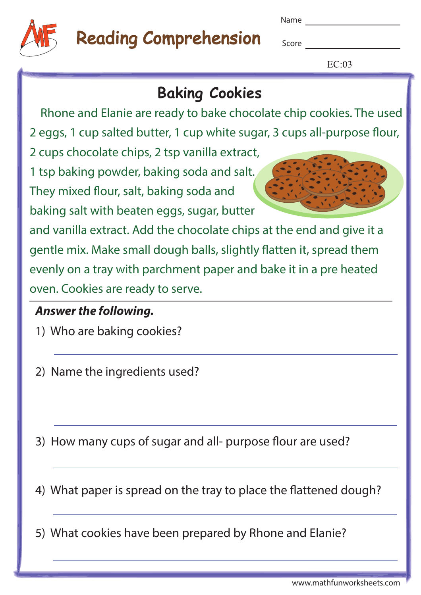

## Reading Comprehension

Name

**Score Score** 

 $EC:03$ 

### **Baking Cookies**

Rhone and Elanie are ready to bake chocolate chip cookies. The used

2 eggs, 1 cup salted butter, 1 cup white sugar, 3 cups all-purpose flour,

2 cups chocolate chips, 2 tsp vanilla extract,

1 tsp baking powder, baking soda and salt. They mixed flour, salt, baking soda and

baking salt with beaten eggs, sugar, butter

and vanilla extract. Add the chocolate chips at the end and give it a gentle mix. Make small dough balls, slightly flatten it, spread them evenly on a tray with parchment paper and bake it in a pre heated oven. Cookies are ready to serve.

### **Answer the following.**

1) Who are baking cookies?

2) Name the ingredients used?

3) How many cups of sugar and all- purpose flour are used?

4) What paper is spread on the tray to place the flattened dough?

5) What cookies have been prepared by Rhone and Elanie?